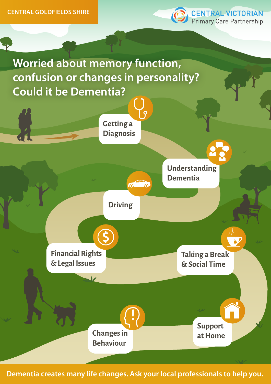

**Worried about memory function, confusion or changes in personality? Could it be Dementia?**



**Dementia creates many life changes. Ask your local professionals to help you.**